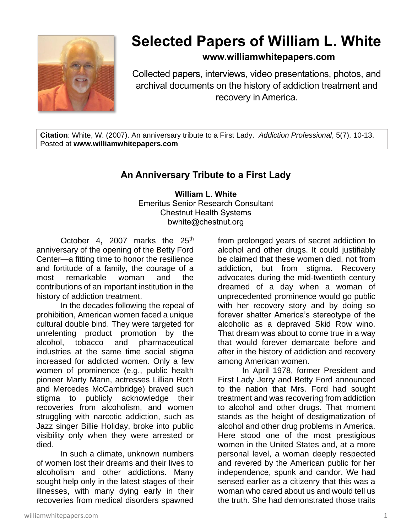

## **Selected Papers of William L. White**

## **www.williamwhitepapers.com**

Collected papers, interviews, video presentations, photos, and archival documents on the history of addiction treatment and recovery in America.

**Citation**: White, W. (2007). An anniversary tribute to a First Lady. *Addiction Professional*, 5(7), 10-13. Posted at **www.williamwhitepapers.com**

## **An Anniversary Tribute to a First Lady**

**William L. White** Emeritus Senior Research Consultant Chestnut Health Systems bwhite@chestnut.org

October 4, 2007 marks the 25<sup>th</sup> anniversary of the opening of the Betty Ford Center—a fitting time to honor the resilience and fortitude of a family, the courage of a most remarkable woman and the contributions of an important institution in the history of addiction treatment.

In the decades following the repeal of prohibition, American women faced a unique cultural double bind. They were targeted for unrelenting product promotion by the alcohol, tobacco and pharmaceutical industries at the same time social stigma increased for addicted women. Only a few women of prominence (e.g., public health pioneer Marty Mann, actresses Lillian Roth and Mercedes McCambridge) braved such stigma to publicly acknowledge their recoveries from alcoholism, and women struggling with narcotic addiction, such as Jazz singer Billie Holiday, broke into public visibility only when they were arrested or died.

In such a climate, unknown numbers of women lost their dreams and their lives to alcoholism and other addictions. Many sought help only in the latest stages of their illnesses, with many dying early in their recoveries from medical disorders spawned from prolonged years of secret addiction to alcohol and other drugs. It could justifiably be claimed that these women died, not from addiction, but from stigma. Recovery advocates during the mid-twentieth century dreamed of a day when a woman of unprecedented prominence would go public with her recovery story and by doing so forever shatter America's stereotype of the alcoholic as a depraved Skid Row wino. That dream was about to come true in a way that would forever demarcate before and after in the history of addiction and recovery among American women.

In April 1978, former President and First Lady Jerry and Betty Ford announced to the nation that Mrs. Ford had sought treatment and was recovering from addiction to alcohol and other drugs. That moment stands as the height of destigmatization of alcohol and other drug problems in America. Here stood one of the most prestigious women in the United States and, at a more personal level, a woman deeply respected and revered by the American public for her independence, spunk and candor. We had sensed earlier as a citizenry that this was a woman who cared about us and would tell us the truth. She had demonstrated those traits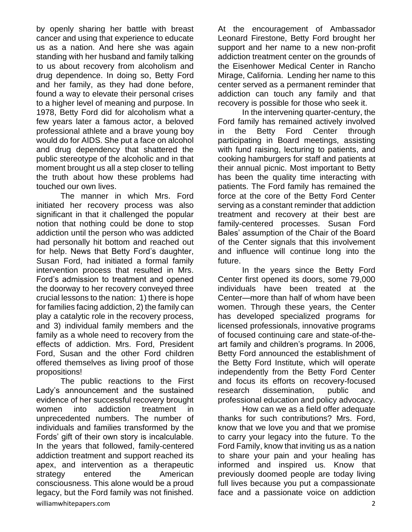by openly sharing her battle with breast cancer and using that experience to educate us as a nation. And here she was again standing with her husband and family talking to us about recovery from alcoholism and drug dependence. In doing so, Betty Ford and her family, as they had done before, found a way to elevate their personal crises to a higher level of meaning and purpose. In 1978, Betty Ford did for alcoholism what a few years later a famous actor, a beloved professional athlete and a brave young boy would do for AIDS. She put a face on alcohol and drug dependency that shattered the public stereotype of the alcoholic and in that moment brought us all a step closer to telling the truth about how these problems had touched our own lives.

The manner in which Mrs. Ford initiated her recovery process was also significant in that it challenged the popular notion that nothing could be done to stop addiction until the person who was addicted had personally hit bottom and reached out for help. News that Betty Ford's daughter, Susan Ford, had initiated a formal family intervention process that resulted in Mrs. Ford's admission to treatment and opened the doorway to her recovery conveyed three crucial lessons to the nation: 1) there is hope for families facing addiction, 2) the family can play a catalytic role in the recovery process, and 3) individual family members and the family as a whole need to recovery from the effects of addiction. Mrs. Ford, President Ford, Susan and the other Ford children offered themselves as living proof of those propositions!

The public reactions to the First Lady's announcement and the sustained evidence of her successful recovery brought women into addiction treatment in unprecedented numbers. The number of individuals and families transformed by the Fords' gift of their own story is incalculable. In the years that followed, family-centered addiction treatment and support reached its apex, and intervention as a therapeutic strategy entered the American consciousness. This alone would be a proud legacy, but the Ford family was not finished.

At the encouragement of Ambassador Leonard Firestone, Betty Ford brought her support and her name to a new non-profit addiction treatment center on the grounds of the Eisenhower Medical Center in Rancho Mirage, California. Lending her name to this center served as a permanent reminder that addiction can touch any family and that recovery is possible for those who seek it.

In the intervening quarter-century, the Ford family has remained actively involved in the Betty Ford Center through participating in Board meetings, assisting with fund raising, lecturing to patients, and cooking hamburgers for staff and patients at their annual picnic. Most important to Betty has been the quality time interacting with patients. The Ford family has remained the force at the core of the Betty Ford Center serving as a constant reminder that addiction treatment and recovery at their best are family-centered processes. Susan Ford Bales' assumption of the Chair of the Board of the Center signals that this involvement and influence will continue long into the future.

In the years since the Betty Ford Center first opened its doors, some 79,000 individuals have been treated at the Center—more than half of whom have been women. Through these years, the Center has developed specialized programs for licensed professionals, innovative programs of focused continuing care and state-of-theart family and children's programs. In 2006, Betty Ford announced the establishment of the Betty Ford Institute, which will operate independently from the Betty Ford Center and focus its efforts on recovery-focused research dissemination, public and professional education and policy advocacy.

How can we as a field offer adequate thanks for such contributions? Mrs. Ford, know that we love you and that we promise to carry your legacy into the future. To the Ford Family, know that inviting us as a nation to share your pain and your healing has informed and inspired us. Know that previously doomed people are today living full lives because you put a compassionate face and a passionate voice on addiction